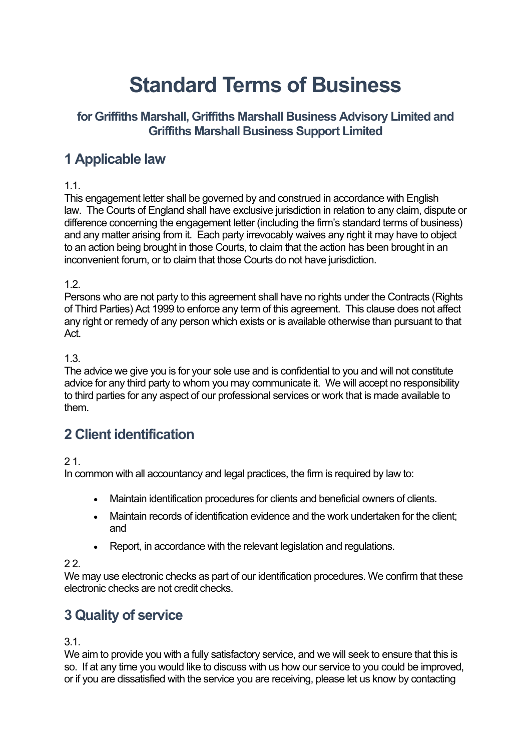# **Standard Terms of Business**

# **for Griffiths Marshall, Griffiths Marshall Business Advisory Limited and Griffiths Marshall Business Support Limited**

# **1 Applicable law**

# 1.1.

This engagement letter shall be governed by and construed in accordance with English law. The Courts of England shall have exclusive jurisdiction in relation to any claim, dispute or difference concerning the engagement letter (including the firm's standard terms of business) and any matter arising from it. Each party irrevocably waives any right it may have to object to an action being brought in those Courts, to claim that the action has been brought in an inconvenient forum, or to claim that those Courts do not have jurisdiction.

# 1.2.

Persons who are not party to this agreement shall have no rights under the Contracts (Rights of Third Parties) Act 1999 to enforce any term of this agreement. This clause does not affect any right or remedy of any person which exists or is available otherwise than pursuant to that Act.

# 1.3.

The advice we give you is for your sole use and is confidential to you and will not constitute advice for any third party to whom you may communicate it. We will accept no responsibility to third parties for any aspect of our professional services or work that is made available to them.

# **2 Client identification**

# 2 1.

In common with all accountancy and legal practices, the firm is required by law to:

- Maintain identification procedures for clients and beneficial owners of clients.
- Maintain records of identification evidence and the work undertaken for the client; and
- Report, in accordance with the relevant legislation and regulations.

# 2 2.

We may use electronic checks as part of our identification procedures. We confirm that these electronic checks are not credit checks.

# **3 Quality of service**

3.1.

We aim to provide you with a fully satisfactory service, and we will seek to ensure that this is so. If at any time you would like to discuss with us how our service to you could be improved, or if you are dissatisfied with the service you are receiving, please let us know by contacting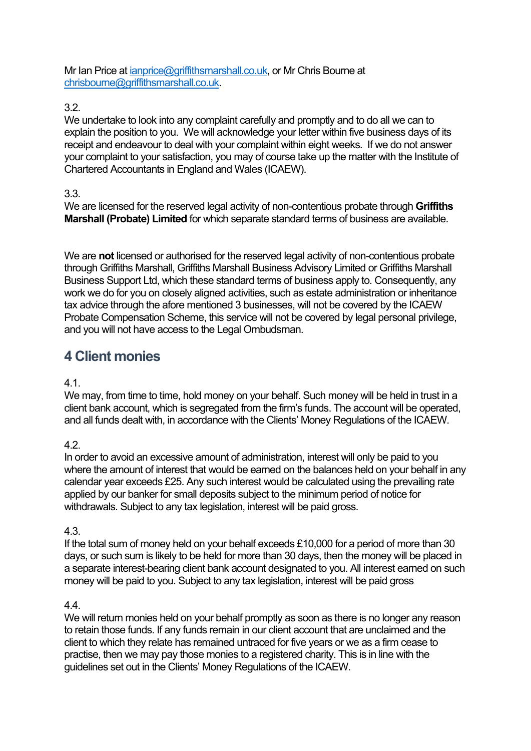Mr Ian Price at [ianprice@griffithsmarshall.co.uk,](mailto:ianprice@griffithsmarshall.co.uk) or Mr Chris Bourne at [chrisbourne@griffithsmarshall.co.uk.](mailto:chrisbourne@griffithsmarshall.co.uk)

#### 3.2.

We undertake to look into any complaint carefully and promptly and to do all we can to explain the position to you. We will acknowledge your letter within five business days of its receipt and endeavour to deal with your complaint within eight weeks. If we do not answer your complaint to your satisfaction, you may of course take up the matter with the Institute of Chartered Accountants in England and Wales (ICAEW).

#### 3.3.

We are licensed for the reserved legal activity of non-contentious probate through **Griffiths Marshall (Probate) Limited** for which separate standard terms of business are available.

We are **not** licensed or authorised for the reserved legal activity of non-contentious probate through Griffiths Marshall, Griffiths Marshall Business Advisory Limited or Griffiths Marshall Business Support Ltd, which these standard terms of business apply to. Consequently, any work we do for you on closely aligned activities, such as estate administration or inheritance tax advice through the afore mentioned 3 businesses, will not be covered by the ICAEW Probate Compensation Scheme, this service will not be covered by legal personal privilege, and you will not have access to the Legal Ombudsman.

# **4 Client monies**

4.1.

We may, from time to time, hold money on your behalf. Such money will be held in trust in a client bank account, which is segregated from the firm's funds. The account will be operated, and all funds dealt with, in accordance with the Clients' Money Regulations of the ICAEW.

#### 4.2.

In order to avoid an excessive amount of administration, interest will only be paid to you where the amount of interest that would be earned on the balances held on your behalf in any calendar year exceeds £25. Any such interest would be calculated using the prevailing rate applied by our banker for small deposits subject to the minimum period of notice for withdrawals. Subject to any tax legislation, interest will be paid gross.

4.3.

If the total sum of money held on your behalf exceeds £10,000 for a period of more than 30 days, or such sum is likely to be held for more than 30 days, then the money will be placed in a separate interest-bearing client bank account designated to you. All interest earned on such money will be paid to you. Subject to any tax legislation, interest will be paid gross

#### 4.4.

We will return monies held on your behalf promptly as soon as there is no longer any reason to retain those funds. If any funds remain in our client account that are unclaimed and the client to which they relate has remained untraced for five years or we as a firm cease to practise, then we may pay those monies to a registered charity. This is in line with the guidelines set out in the Clients' Money Regulations of the ICAEW.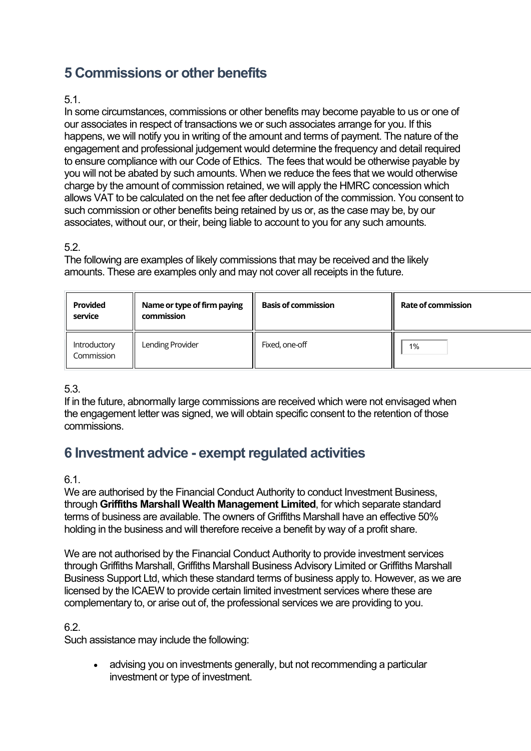# **5 Commissions or other benefits**

#### 5.1.

In some circumstances, commissions or other benefits may become payable to us or one of our associates in respect of transactions we or such associates arrange for you. If this happens, we will notify you in writing of the amount and terms of payment. The nature of the engagement and professional judgement would determine the frequency and detail required to ensure compliance with our Code of Ethics. The fees that would be otherwise payable by you will not be abated by such amounts. When we reduce the fees that we would otherwise charge by the amount of commission retained, we will apply the HMRC concession which allows VAT to be calculated on the net fee after deduction of the commission. You consent to such commission or other benefits being retained by us or, as the case may be, by our associates, without our, or their, being liable to account to you for any such amounts.

# 5.2.

The following are examples of likely commissions that may be received and the likely amounts. These are examples only and may not cover all receipts in the future.

| <b>Provided</b><br>service | Name or type of firm paying<br>commission | <b>Basis of commission</b> | <b>Rate of commission</b> |
|----------------------------|-------------------------------------------|----------------------------|---------------------------|
| Introductory<br>Commission | Lending Provider                          | Fixed, one-off             | 1%                        |

# 5.3.

If in the future, abnormally large commissions are received which were not envisaged when the engagement letter was signed, we will obtain specific consent to the retention of those commissions.

# **6 Investment advice - exempt regulated activities**

#### 6.1.

We are authorised by the Financial Conduct Authority to conduct Investment Business, through **Griffiths Marshall Wealth Management Limited**, for which separate standard terms of business are available. The owners of Griffiths Marshall have an effective 50% holding in the business and will therefore receive a benefit by way of a profit share.

We are not authorised by the Financial Conduct Authority to provide investment services through Griffiths Marshall, Griffiths Marshall Business Advisory Limited or Griffiths Marshall Business Support Ltd, which these standard terms of business apply to. However, as we are licensed by the ICAEW to provide certain limited investment services where these are complementary to, or arise out of, the professional services we are providing to you.

# 6.2.

Such assistance may include the following:

• advising you on investments generally, but not recommending a particular investment or type of investment.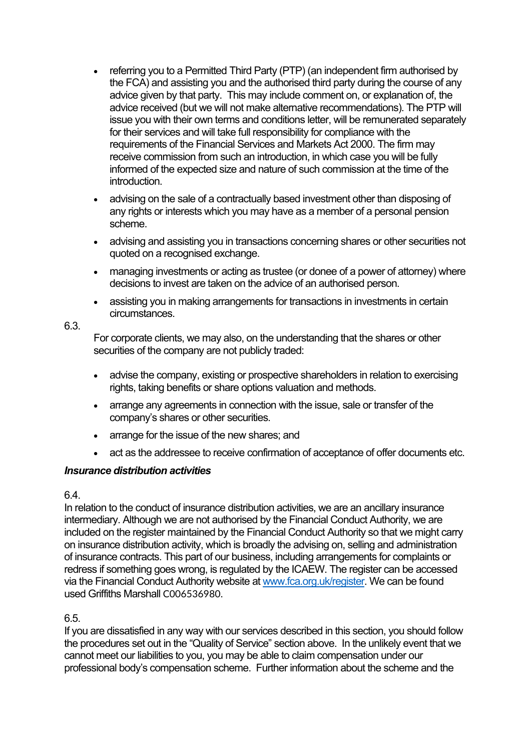- referring you to a Permitted Third Party (PTP) (an independent firm authorised by the FCA) and assisting you and the authorised third party during the course of any advice given by that party. This may include comment on, or explanation of, the advice received (but we will not make alternative recommendations). The PTP will issue you with their own terms and conditions letter, will be remunerated separately for their services and will take full responsibility for compliance with the requirements of the Financial Services and Markets Act 2000. The firm may receive commission from such an introduction, in which case you will be fully informed of the expected size and nature of such commission at the time of the introduction.
- advising on the sale of a contractually based investment other than disposing of any rights or interests which you may have as a member of a personal pension scheme.
- advising and assisting you in transactions concerning shares or other securities not quoted on a recognised exchange.
- managing investments or acting as trustee (or donee of a power of attorney) where decisions to invest are taken on the advice of an authorised person.
- assisting you in making arrangements for transactions in investments in certain circumstances.

#### 6.3.

For corporate clients, we may also, on the understanding that the shares or other securities of the company are not publicly traded:

- advise the company, existing or prospective shareholders in relation to exercising rights, taking benefits or share options valuation and methods.
- arrange any agreements in connection with the issue, sale or transfer of the company's shares or other securities.
- arrange for the issue of the new shares: and
- act as the addressee to receive confirmation of acceptance of offer documents etc.

# *Insurance distribution activities*

#### 6.4.

In relation to the conduct of insurance distribution activities, we are an ancillary insurance intermediary. Although we are not authorised by the Financial Conduct Authority, we are included on the register maintained by the Financial Conduct Authority so that we might carry on insurance distribution activity, which is broadly the advising on, selling and administration of insurance contracts. This part of our business, including arrangements for complaints or redress if something goes wrong, is regulated by the ICAEW. The register can be accessed via the Financial Conduct Authority website a[t www.fca.org.uk/register.](http://www.fca.org.uk/register) We can be found used Griffiths Marshall C006536980.

# 6.5.

If you are dissatisfied in any way with our services described in this section, you should follow the procedures set out in the "Quality of Service" section above. In the unlikely event that we cannot meet our liabilities to you, you may be able to claim compensation under our professional body's compensation scheme. Further information about the scheme and the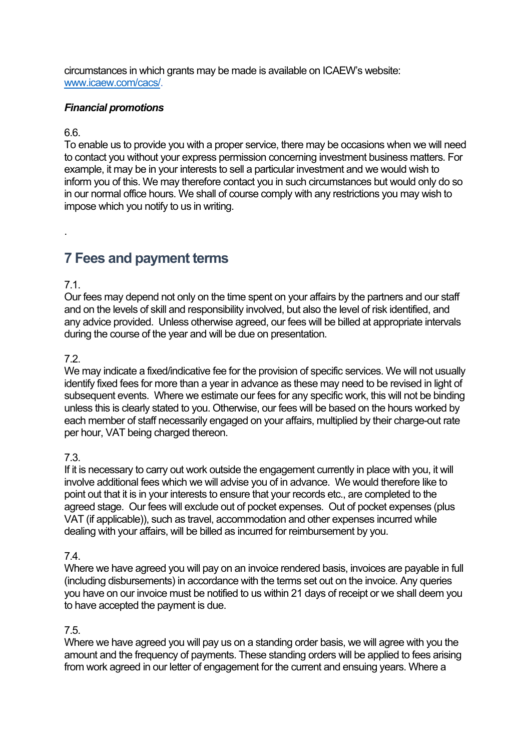circumstances in which grants may be made is available on ICAEW's website: [www.icaew.com/cacs/.](http://www.icaew.com/cacs/)

#### *Financial promotions*

#### 6.6.

To enable us to provide you with a proper service, there may be occasions when we will need to contact you without your express permission concerning investment business matters. For example, it may be in your interests to sell a particular investment and we would wish to inform you of this. We may therefore contact you in such circumstances but would only do so in our normal office hours. We shall of course comply with any restrictions you may wish to impose which you notify to us in writing.

# **7 Fees and payment terms**

# 7.1.

.

Our fees may depend not only on the time spent on your affairs by the partners and our staff and on the levels of skill and responsibility involved, but also the level of risk identified, and any advice provided. Unless otherwise agreed, our fees will be billed at appropriate intervals during the course of the year and will be due on presentation.

# 7.2.

We may indicate a fixed/indicative fee for the provision of specific services. We will not usually identify fixed fees for more than a year in advance as these may need to be revised in light of subsequent events. Where we estimate our fees for any specific work, this will not be binding unless this is clearly stated to you. Otherwise, our fees will be based on the hours worked by each member of staff necessarily engaged on your affairs, multiplied by their charge-out rate per hour, VAT being charged thereon.

# 7.3.

If it is necessary to carry out work outside the engagement currently in place with you, it will involve additional fees which we will advise you of in advance. We would therefore like to point out that it is in your interests to ensure that your records etc., are completed to the agreed stage. Our fees will exclude out of pocket expenses. Out of pocket expenses (plus VAT (if applicable)), such as travel, accommodation and other expenses incurred while dealing with your affairs, will be billed as incurred for reimbursement by you.

# 7.4.

Where we have agreed you will pay on an invoice rendered basis, invoices are payable in full (including disbursements) in accordance with the terms set out on the invoice. Any queries you have on our invoice must be notified to us within 21 days of receipt or we shall deem you to have accepted the payment is due.

# 7.5.

Where we have agreed you will pay us on a standing order basis, we will agree with you the amount and the frequency of payments. These standing orders will be applied to fees arising from work agreed in our letter of engagement for the current and ensuing years. Where a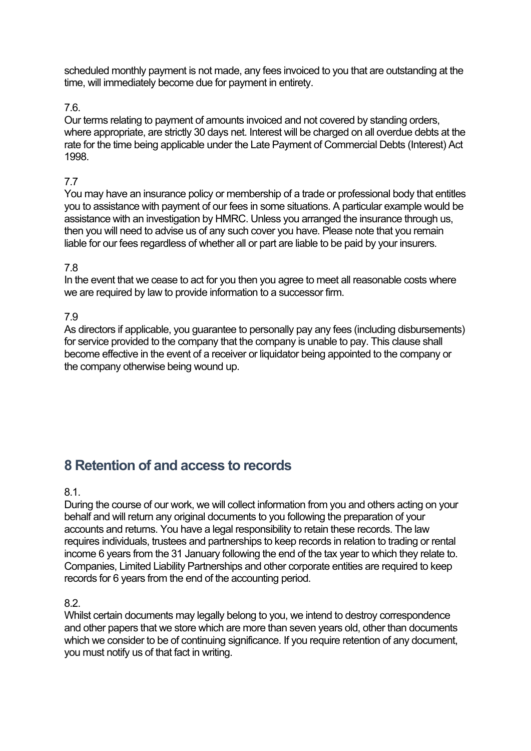scheduled monthly payment is not made, any fees invoiced to you that are outstanding at the time, will immediately become due for payment in entirety.

#### 7.6.

Our terms relating to payment of amounts invoiced and not covered by standing orders, where appropriate, are strictly 30 days net. Interest will be charged on all overdue debts at the rate for the time being applicable under the Late Payment of Commercial Debts (Interest) Act 1998.

#### 7.7

You may have an insurance policy or membership of a trade or professional body that entitles you to assistance with payment of our fees in some situations. A particular example would be assistance with an investigation by HMRC. Unless you arranged the insurance through us, then you will need to advise us of any such cover you have. Please note that you remain liable for our fees regardless of whether all or part are liable to be paid by your insurers.

#### 7.8

In the event that we cease to act for you then you agree to meet all reasonable costs where we are required by law to provide information to a successor firm.

7.9

As directors if applicable, you guarantee to personally pay any fees (including disbursements) for service provided to the company that the company is unable to pay. This clause shall become effective in the event of a receiver or liquidator being appointed to the company or the company otherwise being wound up.

# **8 Retention of and access to records**

8.1.

During the course of our work, we will collect information from you and others acting on your behalf and will return any original documents to you following the preparation of your accounts and returns. You have a legal responsibility to retain these records. The law requires individuals, trustees and partnerships to keep records in relation to trading or rental income 6 years from the 31 January following the end of the tax year to which they relate to. Companies, Limited Liability Partnerships and other corporate entities are required to keep records for 6 years from the end of the accounting period.

8.2.

Whilst certain documents may legally belong to you, we intend to destroy correspondence and other papers that we store which are more than seven years old, other than documents which we consider to be of continuing significance. If you require retention of any document, you must notify us of that fact in writing.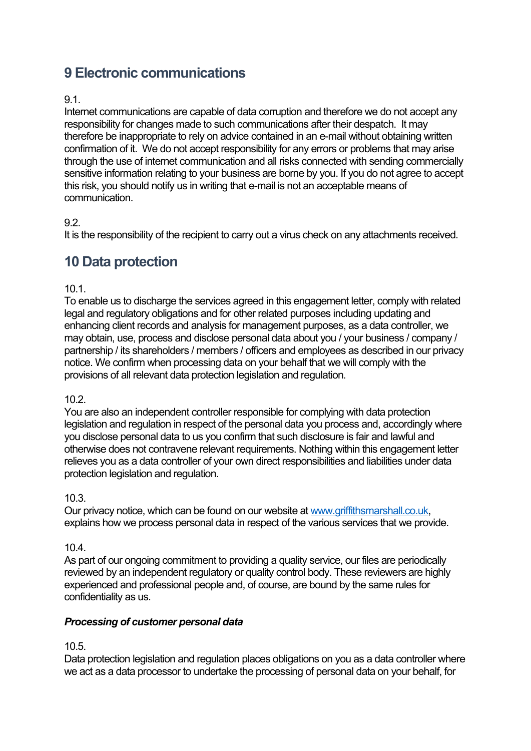# **9 Electronic communications**

#### 9.1.

Internet communications are capable of data corruption and therefore we do not accept any responsibility for changes made to such communications after their despatch. It may therefore be inappropriate to rely on advice contained in an e-mail without obtaining written confirmation of it. We do not accept responsibility for any errors or problems that may arise through the use of internet communication and all risks connected with sending commercially sensitive information relating to your business are borne by you. If you do not agree to accept this risk, you should notify us in writing that e-mail is not an acceptable means of communication.

#### 9.2.

It is the responsibility of the recipient to carry out a virus check on any attachments received.

# **10 Data protection**

#### 10.1.

To enable us to discharge the services agreed in this engagement letter, comply with related legal and regulatory obligations and for other related purposes including updating and enhancing client records and analysis for management purposes, as a data controller, we may obtain, use, process and disclose personal data about you / your business / company / partnership / its shareholders / members / officers and employees as described in our privacy notice. We confirm when processing data on your behalf that we will comply with the provisions of all relevant data protection legislation and regulation.

#### 10.2.

You are also an independent controller responsible for complying with data protection legislation and regulation in respect of the personal data you process and, accordingly where you disclose personal data to us you confirm that such disclosure is fair and lawful and otherwise does not contravene relevant requirements. Nothing within this engagement letter relieves you as a data controller of your own direct responsibilities and liabilities under data protection legislation and regulation.

#### 10.3.

Our privacy notice, which can be found on our website at [www.griffithsmarshall.co.uk,](http://www.griffithsmarshall.co.uk/) explains how we process personal data in respect of the various services that we provide.

#### 10.4.

As part of our ongoing commitment to providing a quality service, our files are periodically reviewed by an independent regulatory or quality control body. These reviewers are highly experienced and professional people and, of course, are bound by the same rules for confidentiality as us.

#### *Processing of customer personal data*

#### 10.5.

Data protection legislation and regulation places obligations on you as a data controller where we act as a data processor to undertake the processing of personal data on your behalf, for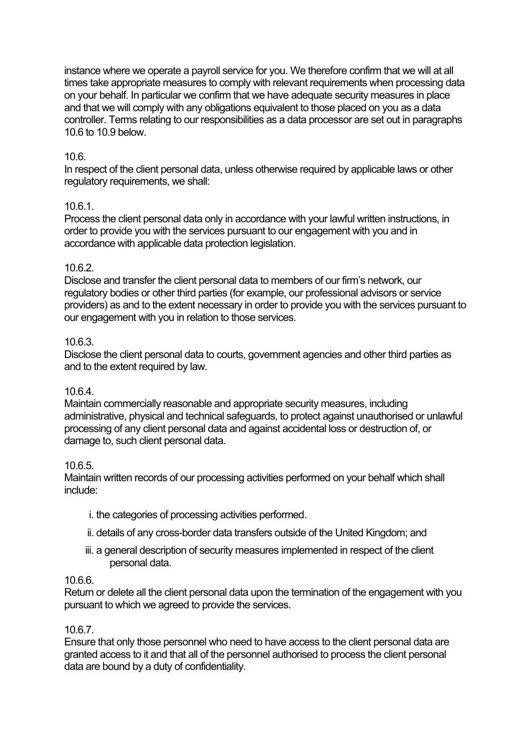instance where we operate a payroll service for you. We therefore confirm that we will at all times take appropriate measures to comply with relevant requirements when processing data on your behalf. In particular we confirm that we have adequate security measures in place and that we will comply with any obligations equivalent to those placed on you as a data controller. Terms relating to our responsibilities as a data processor are set out in paragraphs 10.6 to 10.9 below.

# 10.6.

In respect of the client personal data, unless otherwise required by applicable laws or other regulatory requirements, we shall:

# 10.6.1.

Process the client personal data only in accordance with your lawful written instructions, in order to provide you with the services pursuant to our engagement with you and in accordance with applicable data protection legislation.

# 10.6.2.

Disclose and transfer the client personal data to members of our firm's network, our regulatory bodies or other third parties (for example, our professional advisors or service providers) as and to the extent necessary in order to provide you with the services pursuant to our engagement with you in relation to those services.

# 10.6.3.

Disclose the client personal data to courts, government agencies and other third parties as and to the extent required by law.

# 10.6.4.

Maintain commercially reasonable and appropriate security measures, including administrative, physical and technical safeguards, to protect against unauthorised or unlawful processing of any client personal data and against accidental loss or destruction of, or damage to, such client personal data.

# 10.6.5.

Maintain written records of our processing activities performed on your behalf which shall include:

- i. the categories of processing activities performed.
- ii. details of any cross-border data transfers outside of the United Kingdom; and
- iii. a general description of security measures implemented in respect of the client personal data.

# 10.6.6.

Return or delete all the client personal data upon the termination of the engagement with you pursuant to which we agreed to provide the services.

# 10.6.7.

Ensure that only those personnel who need to have access to the client personal data are granted access to it and that all of the personnel authorised to process the client personal data are bound by a duty of confidentiality.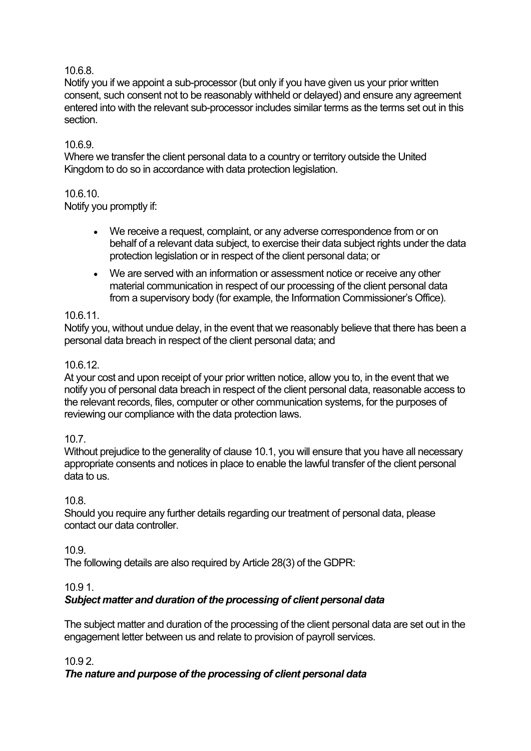# 10.6.8.

Notify you if we appoint a sub-processor (but only if you have given us your prior written consent, such consent not to be reasonably withheld or delayed) and ensure any agreement entered into with the relevant sub-processor includes similar terms as the terms set out in this section.

#### 10.6.9.

Where we transfer the client personal data to a country or territory outside the United Kingdom to do so in accordance with data protection legislation.

#### 10.6.10.

Notify you promptly if:

- We receive a request, complaint, or any adverse correspondence from or on behalf of a relevant data subject, to exercise their data subject rights under the data protection legislation or in respect of the client personal data; or
- We are served with an information or assessment notice or receive any other material communication in respect of our processing of the client personal data from a supervisory body (for example, the Information Commissioner's Office).

#### 10.6.11.

Notify you, without undue delay, in the event that we reasonably believe that there has been a personal data breach in respect of the client personal data; and

#### 10.6.12.

At your cost and upon receipt of your prior written notice, allow you to, in the event that we notify you of personal data breach in respect of the client personal data, reasonable access to the relevant records, files, computer or other communication systems, for the purposes of reviewing our compliance with the data protection laws.

#### 10.7.

Without prejudice to the generality of clause 10.1, you will ensure that you have all necessary appropriate consents and notices in place to enable the lawful transfer of the client personal data to us.

#### 10.8.

Should you require any further details regarding our treatment of personal data, please contact our data controller.

#### 10.9.

The following details are also required by Article 28(3) of the GDPR:

#### 10.9 1.

#### *Subject matter and duration of the processing of client personal data*

The subject matter and duration of the processing of the client personal data are set out in the engagement letter between us and relate to provision of payroll services.

#### 10.9 2.

#### *The nature and purpose of the processing of client personal data*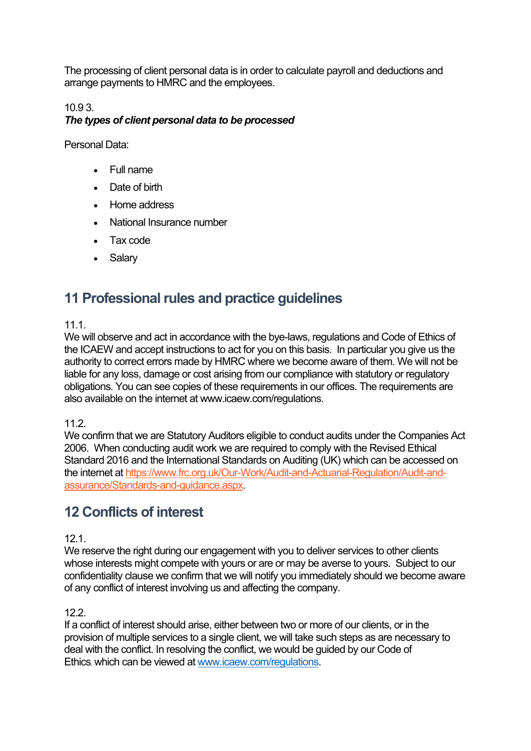The processing of client personal data is in order to calculate payroll and deductions and arrange payments to HMRC and the employees.

# 10.9 3. *The types of client personal data to be processed*

Personal Data:

- Full name
- Date of birth
- Home address
- National Insurance number
- Tax code
- Salary

# **11 Professional rules and practice guidelines**

# 11.1.

We will observe and act in accordance with the bye-laws, regulations and Code of Ethics of the ICAEW and accept instructions to act for you on this basis. In particular you give us the authority to correct errors made by HMRC where we become aware of them. We will not be liable for any loss, damage or cost arising from our compliance with statutory or regulatory obligations. You can see copies of these requirements in our offices. The requirements are also available on the internet at www.icaew.com/regulations.

11.2.

We confirm that we are Statutory Auditors eligible to conduct audits under the Companies Act 2006. When conducting audit work we are required to comply with the Revised Ethical Standard 2016 and the International Standards on Auditing (UK) which can be accessed on the internet at [https://www.frc.org.uk/Our-Work/Audit-and-Actuarial-Regulation/Audit-and](https://www.frc.org.uk/Our-Work/Audit-and-Actuarial-Regulation/Audit-and-assurance/Standards-and-guidance.aspx)[assurance/Standards-and-guidance.aspx.](https://www.frc.org.uk/Our-Work/Audit-and-Actuarial-Regulation/Audit-and-assurance/Standards-and-guidance.aspx)

# **12 Conflicts of interest**

# $12.1$

We reserve the right during our engagement with you to deliver services to other clients whose interests might compete with yours or are or may be averse to yours. Subject to our confidentiality clause we confirm that we will notify you immediately should we become aware of any conflict of interest involving us and affecting the company.

# 12.2.

If a conflict of interest should arise, either between two or more of our clients, or in the provision of multiple services to a single client, we will take such steps as are necessary to deal with the conflict. In resolving the conflict, we would be guided by our Code of Ethics, which can be viewed a[t www.icaew.com/regulations.](http://www.icaew.com/regulations)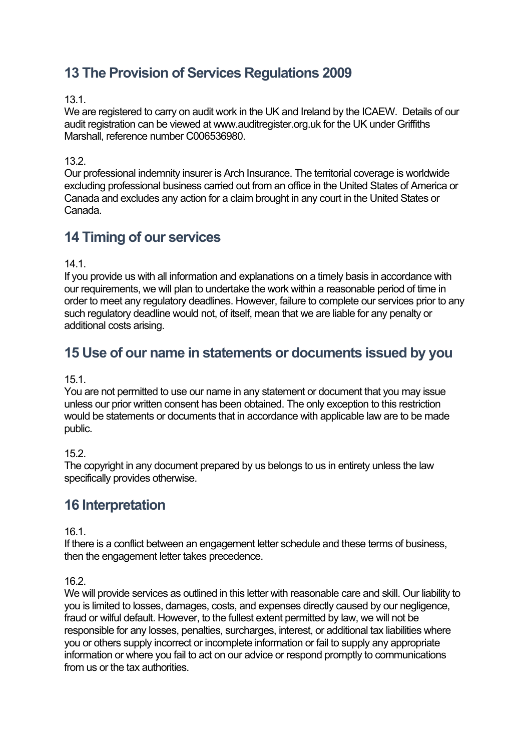# **13 The Provision of Services Regulations 2009**

#### 13.1.

We are registered to carry on audit work in the UK and Ireland by the ICAEW. Details of our audit registration can be viewed at www.auditregister.org.uk for the UK under Griffiths Marshall, reference number C006536980.

#### 13.2.

Our professional indemnity insurer is Arch Insurance. The territorial coverage is worldwide excluding professional business carried out from an office in the United States of America or Canada and excludes any action for a claim brought in any court in the United States or Canada.

# **14 Timing of our services**

14.1.

If you provide us with all information and explanations on a timely basis in accordance with our requirements, we will plan to undertake the work within a reasonable period of time in order to meet any regulatory deadlines. However, failure to complete our services prior to any such regulatory deadline would not, of itself, mean that we are liable for any penalty or additional costs arising.

# **15 Use of our name in statements or documents issued by you**

#### 15.1.

You are not permitted to use our name in any statement or document that you may issue unless our prior written consent has been obtained. The only exception to this restriction would be statements or documents that in accordance with applicable law are to be made public.

#### 15.2.

The copyright in any document prepared by us belongs to us in entirety unless the law specifically provides otherwise.

# **16 Interpretation**

16.1.

If there is a conflict between an engagement letter schedule and these terms of business, then the engagement letter takes precedence.

16.2.

We will provide services as outlined in this letter with reasonable care and skill. Our liability to you is limited to losses, damages, costs, and expenses directly caused by our negligence, fraud or wilful default. However, to the fullest extent permitted by law, we will not be responsible for any losses, penalties, surcharges, interest, or additional tax liabilities where you or others supply incorrect or incomplete information or fail to supply any appropriate information or where you fail to act on our advice or respond promptly to communications from us or the tax authorities.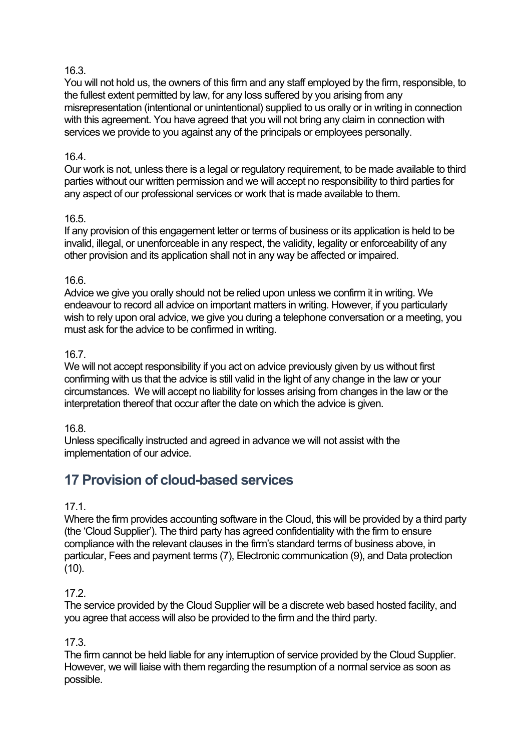# 16.3.

You will not hold us, the owners of this firm and any staff employed by the firm, responsible, to the fullest extent permitted by law, for any loss suffered by you arising from any misrepresentation (intentional or unintentional) supplied to us orally or in writing in connection with this agreement. You have agreed that you will not bring any claim in connection with services we provide to you against any of the principals or employees personally.

#### 16.4.

Our work is not, unless there is a legal or regulatory requirement, to be made available to third parties without our written permission and we will accept no responsibility to third parties for any aspect of our professional services or work that is made available to them.

#### 16.5.

If any provision of this engagement letter or terms of business or its application is held to be invalid, illegal, or unenforceable in any respect, the validity, legality or enforceability of any other provision and its application shall not in any way be affected or impaired.

#### 16.6.

Advice we give you orally should not be relied upon unless we confirm it in writing. We endeavour to record all advice on important matters in writing. However, if you particularly wish to rely upon oral advice, we give you during a telephone conversation or a meeting, you must ask for the advice to be confirmed in writing.

#### 16.7.

We will not accept responsibility if you act on advice previously given by us without first confirming with us that the advice is still valid in the light of any change in the law or your circumstances. We will accept no liability for losses arising from changes in the law or the interpretation thereof that occur after the date on which the advice is given.

#### 16.8.

Unless specifically instructed and agreed in advance we will not assist with the implementation of our advice.

# **17 Provision of cloud-based services**

#### 17.1.

Where the firm provides accounting software in the Cloud, this will be provided by a third party (the 'Cloud Supplier'). The third party has agreed confidentiality with the firm to ensure compliance with the relevant clauses in the firm's standard terms of business above, in particular, Fees and payment terms (7), Electronic communication (9), and Data protection  $(10)$ .

# 17.2.

The service provided by the Cloud Supplier will be a discrete web based hosted facility, and you agree that access will also be provided to the firm and the third party.

#### 17.3.

The firm cannot be held liable for any interruption of service provided by the Cloud Supplier. However, we will liaise with them regarding the resumption of a normal service as soon as possible.